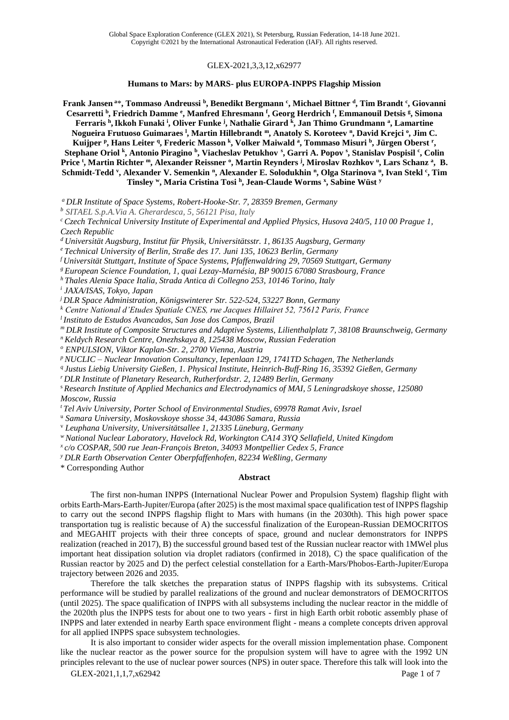#### GLEX-2021,3,3,12,x62977

#### **Humans to Mars: by MARS- plus EUROPA-INPPS Flagship Mission**

**Frank Jansen <sup>a</sup>**\***, Tommaso Andreussi <sup>b</sup> , Benedikt Bergmann <sup>c</sup> , Michael Bittner <sup>d</sup> , Tim Brandt <sup>c</sup> , Giovanni Cesarretti <sup>b</sup> , Friedrich Damme <sup>e</sup> , Manfred Ehresmann <sup>f</sup> , Georg Herdrich <sup>f</sup> , Emmanouil Detsis <sup>g</sup> , Simona Ferraris <sup>h</sup> ,Ikkoh Funaki <sup>i</sup> , Oliver Funke <sup>j</sup> , Nathalie Girard <sup>k</sup> , Jan Thimo Grundmann <sup>a</sup> , Lamartine Nogueira Frutuoso Guimaraes <sup>l</sup> , Martin Hillebrandt <sup>m</sup>, Anatoly S. Koroteev <sup>n</sup> , David Krejci <sup>o</sup> , Jim C. Kuijper <sup>p</sup> , Hans Leiter <sup>q</sup> , Frederic Masson <sup>k</sup> , Volker Maiwald <sup>a</sup> , Tommaso Misuri <sup>b</sup> , Jürgen Oberst <sup>r</sup> , Stephane Oriol <sup>k</sup> , Antonio Piragino <sup>b</sup> , Viacheslav Petukhov <sup>s</sup> , Garri A. Popov <sup>s</sup> , Stanislav Pospisil <sup>c</sup> , Colin Price <sup>t</sup> , Martin Richter <sup>m</sup>, Alexander Reissner <sup>o</sup> , Martin Reynders <sup>j</sup> , Miroslav Rozhkov <sup>u</sup> , Lars Schanz <sup>a</sup> , B. Schmidt-Tedd <sup>v</sup> , Alexander V. Semenkin <sup>n</sup> , Alexander E. Solodukhin <sup>n</sup> , Olga Starinova <sup>u</sup> , Ivan Stekl <sup>c</sup> , Tim Tinsley <sup>w</sup>, Maria Cristina Tosi <sup>h</sup> , Jean-Claude Worms <sup>x</sup> , Sabine Wüst <sup>y</sup>**

*<sup>a</sup> DLR Institute of Space Systems, Robert-Hooke-Str. 7, 28359 Bremen, Germany*

*<sup>b</sup> SITAEL S.p.A.Via A. Gherardesca, 5, 56121 Pisa, Italy*

*<sup>c</sup> Czech Technical University Institute of Experimental and Applied Physics, Husova 240/5, 110 00 Prague 1, Czech Republic*

*<sup>d</sup> Universität Augsburg, Institut für Physik, Universitätsstr. 1, 86135 Augsburg, Germany*

*<sup>e</sup> Technical University of Berlin, Straße des 17. Juni 135, 10623 Berlin, Germany* 

*<sup>f</sup> Universität Stuttgart, Institute of Space Systems, Pfaffenwaldring 29, 70569 Stuttgart, Germany*

*<sup>g</sup> European Science Foundation, 1, quai Lezay-Marnésia, BP 90015 67080 Strasbourg, France*

*<sup>h</sup> Thales Alenia Space Italia, Strada Antica di Collegno 253, 10146 Torino, Italy*

*i JAXA/ISAS, Tokyo, Japan*

*<sup>j</sup>DLR Space Administration, Königswinterer Str. 522-524, 53227 Bonn, Germany*

*<sup>k</sup> Centre National d'Etudes Spatiale CNES, rue Jacques Hillairet 52, 75612 Paris, France*

*<sup>l</sup>Instituto de Estudos Avancados, San Jose dos Campos, Brazil*

*<sup>m</sup> DLR Institute of Composite Structures and Adaptive Systems, Lilienthalplatz 7, 38108 Braunschweig, Germany*

*<sup>n</sup> Keldych Research Centre, Onezhskaya 8, 125438 Moscow, Russian Federation*

*<sup>o</sup> ENPULSION, Viktor Kaplan-Str. 2, 2700 Vienna, Austria* 

*<sup>p</sup> NUCLIC – Nuclear Innovation Consultancy, Iepenlaan 129, 1741TD Schagen, The Netherlands*

*q Justus Liebig University Gießen, 1. Physical Institute, Heinrich-Buff-Ring 16, 35392 Gießen, Germany*

*<sup>r</sup> DLR Institute of Planetary Research, Rutherfordstr. 2, 12489 Berlin, Germany*

<sup>s</sup> *Research Institute of Applied Mechanics and Electrodynamics of MAI, 5 Leningradskoye shosse, 125080 Moscow, Russia*

*<sup>t</sup> Tel Aviv University, Porter School of Environmental Studies, 69978 Ramat Aviv, Israel*

<sup>u</sup> *Samara University, Moskovskoye shosse 34, 443086 Samara, Russia*

<sup>v</sup> *Leuphana University, Universitätsallee 1, 21335 Lüneburg, Germany*

*<sup>w</sup> National Nuclear Laboratory, Havelock Rd, Workington CA14 3YQ Sellafield, United Kingdom*

*x c/o COSPAR, 500 rue Jean-François Breton, 34093 Montpellier Cedex 5, France*

*<sup>y</sup> DLR Earth Observation Center Oberpfaffenhofen, 82234 Weßling, Germany*

\* Corresponding Author

#### **Abstract**

The first non-human INPPS (International Nuclear Power and Propulsion System) flagship flight with orbits Earth-Mars-Earth-Jupiter/Europa (after 2025) is the most maximal space qualification test of INPPS flagship to carry out the second INPPS flagship flight to Mars with humans (in the 2030th). This high power space transportation tug is realistic because of A) the successful finalization of the European-Russian DEMOCRITOS and MEGAHIT projects with their three concepts of space, ground and nuclear demonstrators for INPPS realization (reached in 2017), B) the successful ground based test of the Russian nuclear reactor with 1MWel plus important heat dissipation solution via droplet radiators (confirmed in 2018), C) the space qualification of the Russian reactor by 2025 and D) the perfect celestial constellation for a Earth-Mars/Phobos-Earth-Jupiter/Europa trajectory between 2026 and 2035.

Therefore the talk sketches the preparation status of INPPS flagship with its subsystems. Critical performance will be studied by parallel realizations of the ground and nuclear demonstrators of DEMOCRITOS (until 2025). The space qualification of INPPS with all subsystems including the nuclear reactor in the middle of the 2020th plus the INPPS tests for about one to two years - first in high Earth orbit robotic assembly phase of INPPS and later extended in nearby Earth space environment flight - means a complete concepts driven approval for all applied INPPS space subsystem technologies.

It is also important to consider wider aspects for the overall mission implementation phase. Component like the nuclear reactor as the power source for the propulsion system will have to agree with the 1992 UN principles relevant to the use of nuclear power sources (NPS) in outer space. Therefore this talk will look into the

GLEX-2021,1,1,7,x62942 Page 1 of 7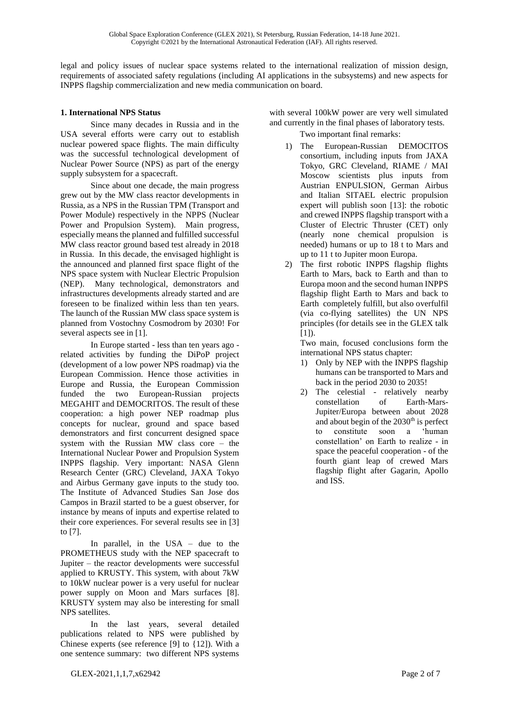legal and policy issues of nuclear space systems related to the international realization of mission design, requirements of associated safety regulations (including AI applications in the subsystems) and new aspects for INPPS flagship commercialization and new media communication on board.

# **1. International NPS Status**

Since many decades in Russia and in the USA several efforts were carry out to establish nuclear powered space flights. The main difficulty was the successful technological development of Nuclear Power Source (NPS) as part of the energy supply subsystem for a spacecraft.

Since about one decade, the main progress grew out by the MW class reactor developments in Russia, as a NPS in the Russian TPM (Transport and Power Module) respectively in the NPPS (Nuclear Power and Propulsion System). Main progress, especially means the planned and fulfilled successful MW class reactor ground based test already in 2018 in Russia. In this decade, the envisaged highlight is the announced and planned first space flight of the NPS space system with Nuclear Electric Propulsion (NEP). Many technological, demonstrators and infrastructures developments already started and are foreseen to be finalized within less than ten years. The launch of the Russian MW class space system is planned from Vostochny Cosmodrom by 2030! For several aspects see in [1].

In Europe started - less than ten years ago related activities by funding the DiPoP project (development of a low power NPS roadmap) via the European Commission. Hence those activities in Europe and Russia, the European Commission funded the two European-Russian projects MEGAHIT and DEMOCRITOS. The result of these cooperation: a high power NEP roadmap plus concepts for nuclear, ground and space based demonstrators and first concurrent designed space system with the Russian MW class core – the International Nuclear Power and Propulsion System INPPS flagship. Very important: NASA Glenn Research Center (GRC) Cleveland, JAXA Tokyo and Airbus Germany gave inputs to the study too. The Institute of Advanced Studies San Jose dos Campos in Brazil started to be a guest observer, for instance by means of inputs and expertise related to their core experiences. For several results see in [3] to [7].

In parallel, in the USA – due to the PROMETHEUS study with the NEP spacecraft to Jupiter – the reactor developments were successful applied to KRUSTY. This system, with about 7kW to 10kW nuclear power is a very useful for nuclear power supply on Moon and Mars surfaces [8]. KRUSTY system may also be interesting for small NPS satellites.

In the last years, several detailed publications related to NPS were published by Chinese experts (see reference [9] to {12]). With a one sentence summary: two different NPS systems

with several 100kW power are very well simulated and currently in the final phases of laboratory tests.

Two important final remarks:

- 1) The European-Russian DEMOCITOS consortium, including inputs from JAXA Tokyo, GRC Cleveland, RIAME / MAI Moscow scientists plus inputs from Austrian ENPULSION, German Airbus and Italian SITAEL electric propulsion expert will publish soon [13]: the robotic and crewed INPPS flagship transport with a Cluster of Electric Thruster (CET) only (nearly none chemical propulsion is needed) humans or up to 18 t to Mars and up to 11 t to Jupiter moon Europa.
- 2) The first robotic INPPS flagship flights Earth to Mars, back to Earth and than to Europa moon and the second human INPPS flagship flight Earth to Mars and back to Earth completely fulfill, but also overfulfil (via co-flying satellites) the UN NPS principles (for details see in the GLEX talk  $[1]$ .

Two main, focused conclusions form the international NPS status chapter:

- 1) Only by NEP with the INPPS flagship humans can be transported to Mars and back in the period 2030 to 2035!
- 2) The celestial relatively nearby constellation of Earth-Mars-Jupiter/Europa between about 2028 and about begin of the  $2030<sup>th</sup>$  is perfect to constitute soon a 'human constellation' on Earth to realize - in space the peaceful cooperation - of the fourth giant leap of crewed Mars flagship flight after Gagarin, Apollo and ISS.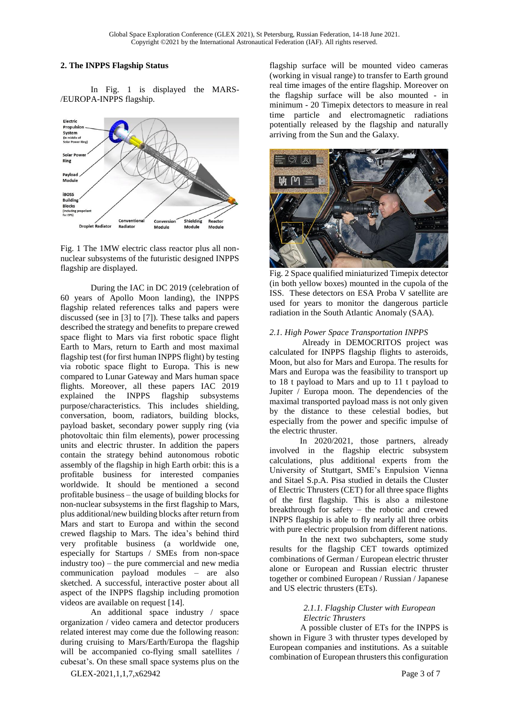#### **2. The INPPS Flagship Status**

In Fig. 1 is displayed the MARS- /EUROPA-INPPS flagship.





During the IAC in DC 2019 (celebration of 60 years of Apollo Moon landing), the INPPS flagship related references talks and papers were discussed (see in [3] to [7]). These talks and papers described the strategy and benefits to prepare crewed space flight to Mars via first robotic space flight Earth to Mars, return to Earth and most maximal flagship test (for first human INPPS flight) by testing via robotic space flight to Europa. This is new compared to Lunar Gateway and Mars human space flights. Moreover, all these papers IAC 2019 explained the INPPS flagship subsystems purpose/characteristics. This includes shielding, conversation, boom, radiators, building blocks, payload basket, secondary power supply ring (via photovoltaic thin film elements), power processing units and electric thruster. In addition the papers contain the strategy behind autonomous robotic assembly of the flagship in high Earth orbit: this is a profitable business for interested companies worldwide. It should be mentioned a second profitable business – the usage of building blocks for non-nuclear subsystems in the first flagship to Mars, plus additional/new building blocks after return from Mars and start to Europa and within the second crewed flagship to Mars. The idea's behind third very profitable business (a worldwide one, especially for Startups / SMEs from non-space industry too) – the pure commercial and new media communication payload modules – are also sketched. A successful, interactive poster about all aspect of the INPPS flagship including promotion videos are available on request [14].

An additional space industry / space organization / video camera and detector producers related interest may come due the following reason: during cruising to Mars/Earth/Europa the flagship will be accompanied co-flying small satellites / cubesat's. On these small space systems plus on the

flagship surface will be mounted video cameras (working in visual range) to transfer to Earth ground real time images of the entire flagship. Moreover on the flagship surface will be also mounted - in minimum - 20 Timepix detectors to measure in real time particle and electromagnetic radiations potentially released by the flagship and naturally arriving from the Sun and the Galaxy.



Fig. 2 Space qualified miniaturized Timepix detector (in both yellow boxes) mounted in the cupola of the ISS. These detectors on ESA Proba V satellite are used for years to monitor the dangerous particle radiation in the South Atlantic Anomaly (SAA).

# *2.1. High Power Space Transportation INPPS*

Already in DEMOCRITOS project was calculated for INPPS flagship flights to asteroids, Moon, but also for Mars and Europa. The results for Mars and Europa was the feasibility to transport up to 18 t payload to Mars and up to 11 t payload to Jupiter / Europa moon. The dependencies of the maximal transported payload mass is not only given by the distance to these celestial bodies, but especially from the power and specific impulse of the electric thruster.

In 2020/2021, those partners, already involved in the flagship electric subsystem calculations, plus additional experts from the University of Stuttgart, SME's Enpulsion Vienna and Sitael S.p.A. Pisa studied in details the Cluster of Electric Thrusters (CET) for all three space flights of the first flagship. This is also a milestone breakthrough for safety – the robotic and crewed INPPS flagship is able to fly nearly all three orbits with pure electric propulsion from different nations.

In the next two subchapters, some study results for the flagship CET towards optimized combinations of German / European electric thruster alone or European and Russian electric thruster together or combined European / Russian / Japanese and US electric thrusters (ETs).

# *2.1.1. Flagship Cluster with European Electric Thrusters*

A possible cluster of ETs for the INPPS is shown in Figure 3 with thruster types developed by European companies and institutions. As a suitable combination of European thrusters this configuration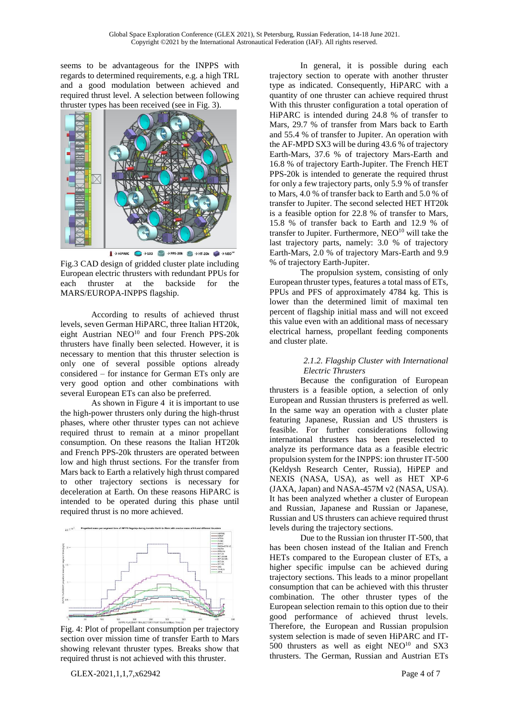seems to be advantageous for the INPPS with regards to determined requirements, e.g. a high TRL and a good modulation between achieved and required thrust level. A selection between following thruster types has been received (see in Fig. 3).



Fig.3 CAD design of gridded cluster plate including European electric thrusters with redundant PPUs for each thruster at the backside for the MARS/EUROPA-INPPS flagship.

According to results of achieved thrust levels, seven German HiPARC, three Italian HT20k, eight Austrian NEO<sup>10</sup> and four French PPS-20k thrusters have finally been selected. However, it is necessary to mention that this thruster selection is only one of several possible options already considered – for instance for German ETs only are very good option and other combinations with several European ETs can also be preferred.

As shown in Figure 4 it is important to use the high-power thrusters only during the high-thrust phases, where other thruster types can not achieve required thrust to remain at a minor propellant consumption. On these reasons the Italian HT20k and French PPS-20k thrusters are operated between low and high thrust sections. For the transfer from Mars back to Earth a relatively high thrust compared to other trajectory sections is necessary for deceleration at Earth. On these reasons HiPARC is intended to be operated during this phase until required thrust is no more achieved.



Fig. 4: Plot of propellant consumption per trajectory section over mission time of transfer Earth to Mars showing relevant thruster types. Breaks show that required thrust is not achieved with this thruster.

In general, it is possible during each trajectory section to operate with another thruster type as indicated. Consequently, HiPARC with a quantity of one thruster can achieve required thrust With this thruster configuration a total operation of HiPARC is intended during 24.8 % of transfer to Mars, 29.7 % of transfer from Mars back to Earth and 55.4 % of transfer to Jupiter. An operation with the AF-MPD SX3 will be during 43.6 % of trajectory Earth-Mars, 37.6 % of trajectory Mars-Earth and 16.8 % of trajectory Earth-Jupiter. The French HET PPS-20k is intended to generate the required thrust for only a few trajectory parts, only 5.9 % of transfer to Mars, 4.0 % of transfer back to Earth and 5.0 % of transfer to Jupiter. The second selected HET HT20k is a feasible option for 22.8 % of transfer to Mars, 15.8 % of transfer back to Earth and 12.9 % of transfer to Jupiter. Furthermore,  $NEO<sup>10</sup>$  will take the last trajectory parts, namely: 3.0 % of trajectory Earth-Mars, 2.0 % of trajectory Mars-Earth and 9.9 % of trajectory Earth-Jupiter.

The propulsion system, consisting of only European thruster types, features a total mass of ETs, PPUs and PFS of approximately 4784 kg. This is lower than the determined limit of maximal ten percent of flagship initial mass and will not exceed this value even with an additional mass of necessary electrical harness, propellant feeding components and cluster plate.

# *2.1.2. Flagship Cluster with International Electric Thrusters*

Because the configuration of European thrusters is a feasible option, a selection of only European and Russian thrusters is preferred as well. In the same way an operation with a cluster plate featuring Japanese, Russian and US thrusters is feasible. For further considerations following international thrusters has been preselected to analyze its performance data as a feasible electric propulsion system for the INPPS: ion thruster IT-500 (Keldysh Research Center, Russia), HiPEP and NEXIS (NASA, USA), as well as HET XP-6 (JAXA, Japan) and NASA-457M v2 (NASA, USA). It has been analyzed whether a cluster of European and Russian, Japanese and Russian or Japanese, Russian and US thrusters can achieve required thrust levels during the trajectory sections.

Due to the Russian ion thruster IT-500, that has been chosen instead of the Italian and French HETs compared to the European cluster of ETs, a higher specific impulse can be achieved during trajectory sections. This leads to a minor propellant consumption that can be achieved with this thruster combination. The other thruster types of the European selection remain to this option due to their good performance of achieved thrust levels. Therefore, the European and Russian propulsion system selection is made of seven HiPARC and IT-500 thrusters as well as eight  $NEO<sup>10</sup>$  and SX3 thrusters. The German, Russian and Austrian ETs

GLEX-2021,1,1,7,x62942 Page 4 of 7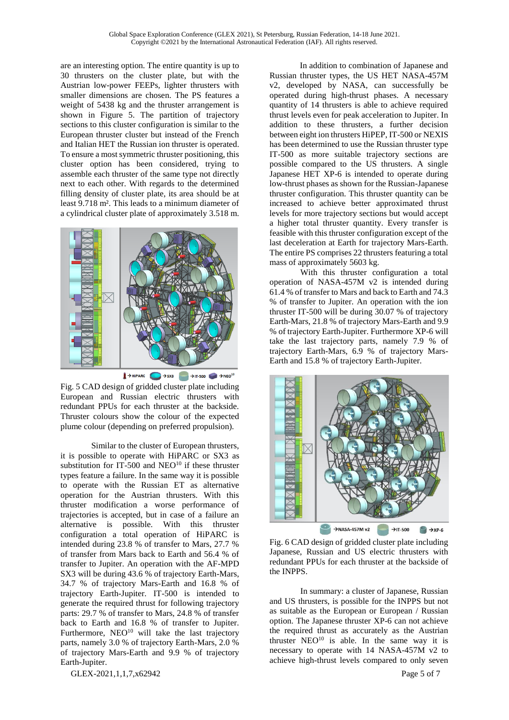are an interesting option. The entire quantity is up to 30 thrusters on the cluster plate, but with the Austrian low-power FEEPs, lighter thrusters with smaller dimensions are chosen. The PS features a weight of 5438 kg and the thruster arrangement is shown in Figure 5. The partition of trajectory sections to this cluster configuration is similar to the European thruster cluster but instead of the French and Italian HET the Russian ion thruster is operated. To ensure a most symmetric thruster positioning, this cluster option has been considered, trying to assemble each thruster of the same type not directly next to each other. With regards to the determined filling density of cluster plate, its area should be at least 9.718 m². This leads to a minimum diameter of a cylindrical cluster plate of approximately 3.518 m.



 $\rightarrow$ HiPARC  $\rightarrow$  SX3  $\rightarrow$  IT-500  $\rightarrow$  PNEO<sup>10</sup>

Fig. 5 CAD design of gridded cluster plate including European and Russian electric thrusters with redundant PPUs for each thruster at the backside. Thruster colours show the colour of the expected plume colour (depending on preferred propulsion).

Similar to the cluster of European thrusters, it is possible to operate with HiPARC or SX3 as substitution for IT-500 and NEO $10$  if these thruster types feature a failure. In the same way it is possible to operate with the Russian ET as alternative operation for the Austrian thrusters. With this thruster modification a worse performance of trajectories is accepted, but in case of a failure an alternative is possible. With this thruster configuration a total operation of HiPARC is intended during 23.8 % of transfer to Mars, 27.7 % of transfer from Mars back to Earth and 56.4 % of transfer to Jupiter. An operation with the AF-MPD SX3 will be during 43.6 % of trajectory Earth-Mars, 34.7 % of trajectory Mars-Earth and 16.8 % of trajectory Earth-Jupiter. IT-500 is intended to generate the required thrust for following trajectory parts: 29.7 % of transfer to Mars, 24.8 % of transfer back to Earth and 16.8 % of transfer to Jupiter. Furthermore,  $NEO<sup>10</sup>$  will take the last trajectory parts, namely 3.0 % of trajectory Earth-Mars, 2.0 % of trajectory Mars-Earth and 9.9 % of trajectory Earth-Jupiter.

In addition to combination of Japanese and Russian thruster types, the US HET NASA-457M v2, developed by NASA, can successfully be operated during high-thrust phases. A necessary quantity of 14 thrusters is able to achieve required thrust levels even for peak acceleration to Jupiter. In addition to these thrusters, a further decision between eight ion thrusters HiPEP, IT-500 or NEXIS has been determined to use the Russian thruster type IT-500 as more suitable trajectory sections are possible compared to the US thrusters. A single Japanese HET XP-6 is intended to operate during low-thrust phases as shown for the Russian-Japanese thruster configuration. This thruster quantity can be increased to achieve better approximated thrust levels for more trajectory sections but would accept a higher total thruster quantity. Every transfer is feasible with this thruster configuration except of the last deceleration at Earth for trajectory Mars-Earth. The entire PS comprises 22 thrusters featuring a total mass of approximately 5603 kg.

With this thruster configuration a total operation of NASA-457M v2 is intended during 61.4 % of transfer to Mars and back to Earth and 74.3 % of transfer to Jupiter. An operation with the ion thruster IT-500 will be during 30.07 % of trajectory Earth-Mars, 21.8 % of trajectory Mars-Earth and 9.9 % of trajectory Earth-Jupiter. Furthermore XP-6 will take the last trajectory parts, namely 7.9 % of trajectory Earth-Mars, 6.9 % of trajectory Mars-Earth and 15.8 % of trajectory Earth-Jupiter.



Fig. 6 CAD design of gridded cluster plate including Japanese, Russian and US electric thrusters with redundant PPUs for each thruster at the backside of the INPPS.

In summary: a cluster of Japanese, Russian and US thrusters, is possible for the INPPS but not as suitable as the European or European / Russian option. The Japanese thruster XP-6 can not achieve the required thrust as accurately as the Austrian thruster  $NEO<sup>10</sup>$  is able. In the same way it is necessary to operate with 14 NASA-457M v2 to achieve high-thrust levels compared to only seven

GLEX-2021,1,1,7,x62942 Page 5 of 7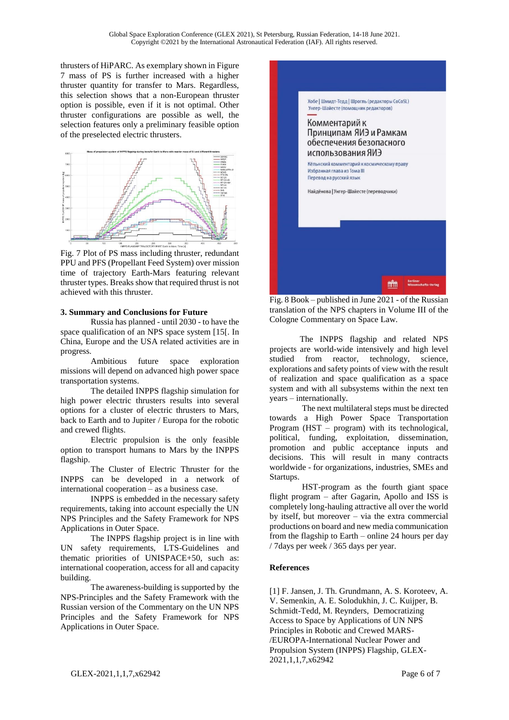thrusters of HiPARC. As exemplary shown in Figure 7 mass of PS is further increased with a higher thruster quantity for transfer to Mars. Regardless, this selection shows that a non-European thruster option is possible, even if it is not optimal. Other thruster configurations are possible as well, the selection features only a preliminary feasible option of the preselected electric thrusters.



Fig. 7 Plot of PS mass including thruster, redundant PPU and PFS (Propellant Feed System) over mission time of trajectory Earth-Mars featuring relevant thruster types. Breaks show that required thrust is not achieved with this thruster.

#### **3. Summary and Conclusions for Future**

Russia has planned - until 2030 - to have the space qualification of an NPS space system [15[. In China, Europe and the USA related activities are in progress.

Ambitious future space exploration missions will depend on advanced high power space transportation systems.

The detailed INPPS flagship simulation for high power electric thrusters results into several options for a cluster of electric thrusters to Mars, back to Earth and to Jupiter / Europa for the robotic and crewed flights.

Electric propulsion is the only feasible option to transport humans to Mars by the INPPS flagship.

The Cluster of Electric Thruster for the INPPS can be developed in a network of international cooperation – as a business case.

INPPS is embedded in the necessary safety requirements, taking into account especially the UN NPS Principles and the Safety Framework for NPS Applications in Outer Space.

The INPPS flagship project is in line with UN safety requirements, LTS-Guidelines and thematic priorities of UNISPACE+50, such as: international cooperation, access for all and capacity building.

The awareness-building is supported by the NPS-Principles and the Safety Framework with the Russian version of the Commentary on the UN NPS Principles and the Safety Framework for NPS Applications in Outer Space.



Fig. 8 Book – published in June 2021 - of the Russian translation of the NPS chapters in Volume III of the Cologne Commentary on Space Law.

The INPPS flagship and related NPS projects are world-wide intensively and high level studied from reactor, technology, science, explorations and safety points of view with the result of realization and space qualification as a space system and with all subsystems within the next ten years – internationally.

The next multilateral steps must be directed towards a High Power Space Transportation Program (HST – program) with its technological, political, funding, exploitation, dissemination, promotion and public acceptance inputs and decisions. This will result in many contracts worldwide - for organizations, industries, SMEs and Startups.

HST-program as the fourth giant space flight program – after Gagarin, Apollo and ISS is completely long-hauling attractive all over the world by itself, but moreover – via the extra commercial productions on board and new media communication from the flagship to Earth – online 24 hours per day / 7days per week / 365 days per year.

# **References**

[1] F. Jansen, J. Th. Grundmann, A. S. Koroteev, A. V. Semenkin, A. E. Solodukhin, J. C. Kuijper, B. Schmidt-Tedd, M. Reynders, Democratizing Access to Space by Applications of UN NPS Principles in Robotic and Crewed MARS- /EUROPA-International Nuclear Power and Propulsion System (INPPS) Flagship, GLEX-2021,1,1,7,x62942